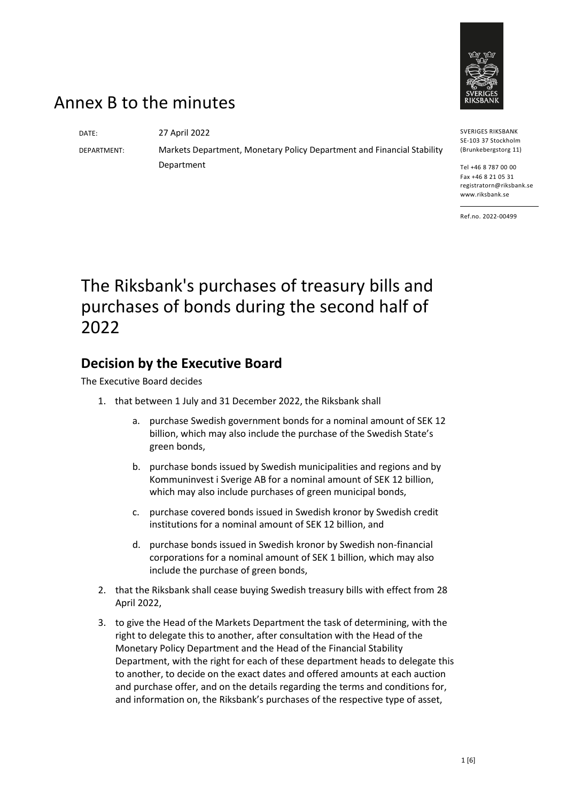

## Annex B to the minutes

DATE: 27 April 2022

DEPARTMENT: Markets Department, Monetary Policy Department and Financial Stability Department

Ref.no. 2022-00499

SVERIGES RIKSBANK SE-103 37 Stockholm (Brunkebergstorg 11) Tel +46 8 787 00 00 Fax +46 8 21 05 31 registratorn@riksbank.se www.riksbank.se

# The Riksbank's purchases of treasury bills and purchases of bonds during the second half of 2022

### **Decision by the Executive Board**

The Executive Board decides

- 1. that between 1 July and 31 December 2022, the Riksbank shall
	- a. purchase Swedish government bonds for a nominal amount of SEK 12 billion, which may also include the purchase of the Swedish State's green bonds,
	- b. purchase bonds issued by Swedish municipalities and regions and by Kommuninvest i Sverige AB for a nominal amount of SEK 12 billion, which may also include purchases of green municipal bonds,
	- c. purchase covered bonds issued in Swedish kronor by Swedish credit institutions for a nominal amount of SEK 12 billion, and
	- d. purchase bonds issued in Swedish kronor by Swedish non-financial corporations for a nominal amount of SEK 1 billion, which may also include the purchase of green bonds,
- 2. that the Riksbank shall cease buying Swedish treasury bills with effect from 28 April 2022,
- 3. to give the Head of the Markets Department the task of determining, with the right to delegate this to another, after consultation with the Head of the Monetary Policy Department and the Head of the Financial Stability Department, with the right for each of these department heads to delegate this to another, to decide on the exact dates and offered amounts at each auction and purchase offer, and on the details regarding the terms and conditions for, and information on, the Riksbank's purchases of the respective type of asset,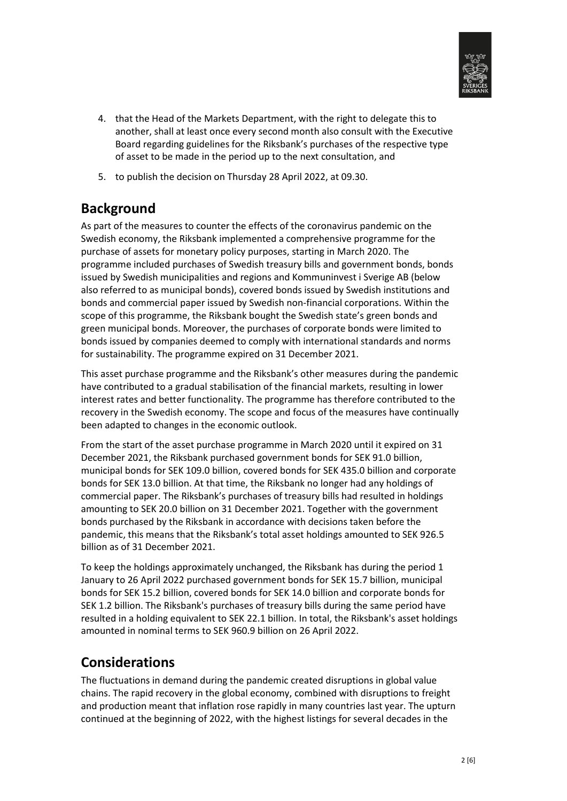

- 4. that the Head of the Markets Department, with the right to delegate this to another, shall at least once every second month also consult with the Executive Board regarding guidelines for the Riksbank's purchases of the respective type of asset to be made in the period up to the next consultation, and
- 5. to publish the decision on Thursday 28 April 2022, at 09.30.

### **Background**

As part of the measures to counter the effects of the coronavirus pandemic on the Swedish economy, the Riksbank implemented a comprehensive programme for the purchase of assets for monetary policy purposes, starting in March 2020. The programme included purchases of Swedish treasury bills and government bonds, bonds issued by Swedish municipalities and regions and Kommuninvest i Sverige AB (below also referred to as municipal bonds), covered bonds issued by Swedish institutions and bonds and commercial paper issued by Swedish non-financial corporations. Within the scope of this programme, the Riksbank bought the Swedish state's green bonds and green municipal bonds. Moreover, the purchases of corporate bonds were limited to bonds issued by companies deemed to comply with international standards and norms for sustainability. The programme expired on 31 December 2021.

This asset purchase programme and the Riksbank's other measures during the pandemic have contributed to a gradual stabilisation of the financial markets, resulting in lower interest rates and better functionality. The programme has therefore contributed to the recovery in the Swedish economy. The scope and focus of the measures have continually been adapted to changes in the economic outlook.

From the start of the asset purchase programme in March 2020 until it expired on 31 December 2021, the Riksbank purchased government bonds for SEK 91.0 billion, municipal bonds for SEK 109.0 billion, covered bonds for SEK 435.0 billion and corporate bonds for SEK 13.0 billion. At that time, the Riksbank no longer had any holdings of commercial paper. The Riksbank's purchases of treasury bills had resulted in holdings amounting to SEK 20.0 billion on 31 December 2021. Together with the government bonds purchased by the Riksbank in accordance with decisions taken before the pandemic, this means that the Riksbank's total asset holdings amounted to SEK 926.5 billion as of 31 December 2021.

To keep the holdings approximately unchanged, the Riksbank has during the period 1 January to 26 April 2022 purchased government bonds for SEK 15.7 billion, municipal bonds for SEK 15.2 billion, covered bonds for SEK 14.0 billion and corporate bonds for SEK 1.2 billion. The Riksbank's purchases of treasury bills during the same period have resulted in a holding equivalent to SEK 22.1 billion. In total, the Riksbank's asset holdings amounted in nominal terms to SEK 960.9 billion on 26 April 2022.

### **Considerations**

The fluctuations in demand during the pandemic created disruptions in global value chains. The rapid recovery in the global economy, combined with disruptions to freight and production meant that inflation rose rapidly in many countries last year. The upturn continued at the beginning of 2022, with the highest listings for several decades in the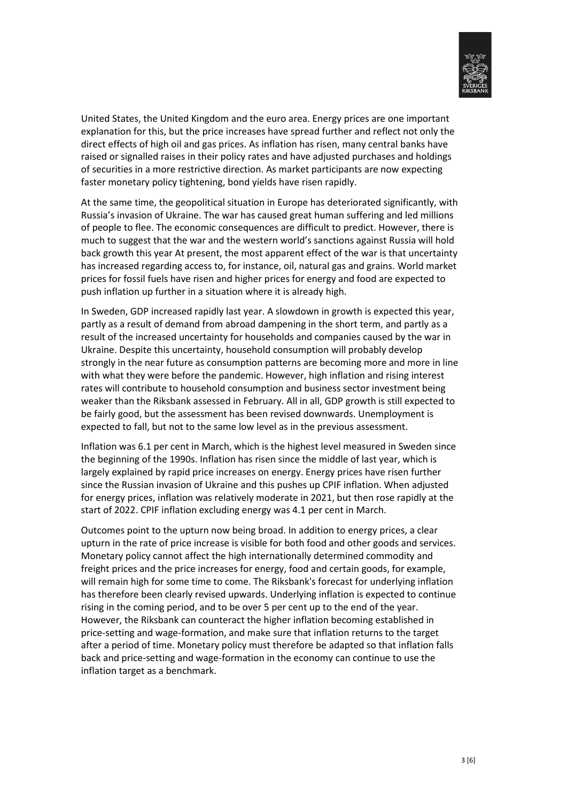

United States, the United Kingdom and the euro area. Energy prices are one important explanation for this, but the price increases have spread further and reflect not only the direct effects of high oil and gas prices. As inflation has risen, many central banks have raised or signalled raises in their policy rates and have adjusted purchases and holdings of securities in a more restrictive direction. As market participants are now expecting faster monetary policy tightening, bond yields have risen rapidly.

At the same time, the geopolitical situation in Europe has deteriorated significantly, with Russia's invasion of Ukraine. The war has caused great human suffering and led millions of people to flee. The economic consequences are difficult to predict. However, there is much to suggest that the war and the western world's sanctions against Russia will hold back growth this year At present, the most apparent effect of the war is that uncertainty has increased regarding access to, for instance, oil, natural gas and grains. World market prices for fossil fuels have risen and higher prices for energy and food are expected to push inflation up further in a situation where it is already high.

In Sweden, GDP increased rapidly last year. A slowdown in growth is expected this year, partly as a result of demand from abroad dampening in the short term, and partly as a result of the increased uncertainty for households and companies caused by the war in Ukraine. Despite this uncertainty, household consumption will probably develop strongly in the near future as consumption patterns are becoming more and more in line with what they were before the pandemic. However, high inflation and rising interest rates will contribute to household consumption and business sector investment being weaker than the Riksbank assessed in February. All in all, GDP growth is still expected to be fairly good, but the assessment has been revised downwards. Unemployment is expected to fall, but not to the same low level as in the previous assessment.

Inflation was 6.1 per cent in March, which is the highest level measured in Sweden since the beginning of the 1990s. Inflation has risen since the middle of last year, which is largely explained by rapid price increases on energy. Energy prices have risen further since the Russian invasion of Ukraine and this pushes up CPIF inflation. When adjusted for energy prices, inflation was relatively moderate in 2021, but then rose rapidly at the start of 2022. CPIF inflation excluding energy was 4.1 per cent in March.

Outcomes point to the upturn now being broad. In addition to energy prices, a clear upturn in the rate of price increase is visible for both food and other goods and services. Monetary policy cannot affect the high internationally determined commodity and freight prices and the price increases for energy, food and certain goods, for example, will remain high for some time to come. The Riksbank's forecast for underlying inflation has therefore been clearly revised upwards. Underlying inflation is expected to continue rising in the coming period, and to be over 5 per cent up to the end of the year. However, the Riksbank can counteract the higher inflation becoming established in price-setting and wage-formation, and make sure that inflation returns to the target after a period of time. Monetary policy must therefore be adapted so that inflation falls back and price-setting and wage-formation in the economy can continue to use the inflation target as a benchmark.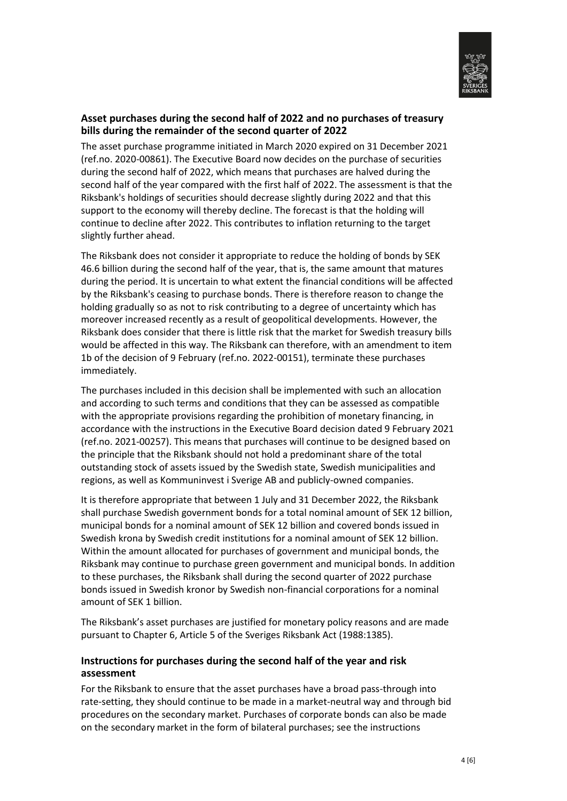

#### **Asset purchases during the second half of 2022 and no purchases of treasury bills during the remainder of the second quarter of 2022**

The asset purchase programme initiated in March 2020 expired on 31 December 2021 (ref.no. 2020-00861). The Executive Board now decides on the purchase of securities during the second half of 2022, which means that purchases are halved during the second half of the year compared with the first half of 2022. The assessment is that the Riksbank's holdings of securities should decrease slightly during 2022 and that this support to the economy will thereby decline. The forecast is that the holding will continue to decline after 2022. This contributes to inflation returning to the target slightly further ahead.

The Riksbank does not consider it appropriate to reduce the holding of bonds by SEK 46.6 billion during the second half of the year, that is, the same amount that matures during the period. It is uncertain to what extent the financial conditions will be affected by the Riksbank's ceasing to purchase bonds. There is therefore reason to change the holding gradually so as not to risk contributing to a degree of uncertainty which has moreover increased recently as a result of geopolitical developments. However, the Riksbank does consider that there is little risk that the market for Swedish treasury bills would be affected in this way. The Riksbank can therefore, with an amendment to item 1b of the decision of 9 February (ref.no. 2022-00151), terminate these purchases immediately.

The purchases included in this decision shall be implemented with such an allocation and according to such terms and conditions that they can be assessed as compatible with the appropriate provisions regarding the prohibition of monetary financing, in accordance with the instructions in the Executive Board decision dated 9 February 2021 (ref.no. 2021-00257). This means that purchases will continue to be designed based on the principle that the Riksbank should not hold a predominant share of the total outstanding stock of assets issued by the Swedish state, Swedish municipalities and regions, as well as Kommuninvest i Sverige AB and publicly-owned companies.

It is therefore appropriate that between 1 July and 31 December 2022, the Riksbank shall purchase Swedish government bonds for a total nominal amount of SEK 12 billion, municipal bonds for a nominal amount of SEK 12 billion and covered bonds issued in Swedish krona by Swedish credit institutions for a nominal amount of SEK 12 billion. Within the amount allocated for purchases of government and municipal bonds, the Riksbank may continue to purchase green government and municipal bonds. In addition to these purchases, the Riksbank shall during the second quarter of 2022 purchase bonds issued in Swedish kronor by Swedish non-financial corporations for a nominal amount of SEK 1 billion.

The Riksbank's asset purchases are justified for monetary policy reasons and are made pursuant to Chapter 6, Article 5 of the Sveriges Riksbank Act (1988:1385).

#### **Instructions for purchases during the second half of the year and risk assessment**

For the Riksbank to ensure that the asset purchases have a broad pass-through into rate-setting, they should continue to be made in a market-neutral way and through bid procedures on the secondary market. Purchases of corporate bonds can also be made on the secondary market in the form of bilateral purchases; see the instructions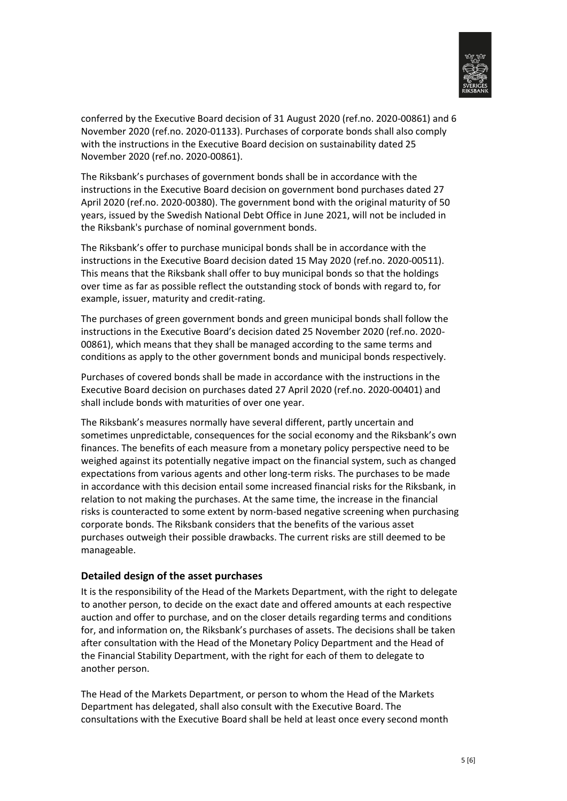

conferred by the Executive Board decision of 31 August 2020 (ref.no. 2020-00861) and 6 November 2020 (ref.no. 2020-01133). Purchases of corporate bonds shall also comply with the instructions in the Executive Board decision on sustainability dated 25 November 2020 (ref.no. 2020-00861).

The Riksbank's purchases of government bonds shall be in accordance with the instructions in the Executive Board decision on government bond purchases dated 27 April 2020 (ref.no. 2020-00380). The government bond with the original maturity of 50 years, issued by the Swedish National Debt Office in June 2021, will not be included in the Riksbank's purchase of nominal government bonds.

The Riksbank's offer to purchase municipal bonds shall be in accordance with the instructions in the Executive Board decision dated 15 May 2020 (ref.no. 2020-00511). This means that the Riksbank shall offer to buy municipal bonds so that the holdings over time as far as possible reflect the outstanding stock of bonds with regard to, for example, issuer, maturity and credit-rating.

The purchases of green government bonds and green municipal bonds shall follow the instructions in the Executive Board's decision dated 25 November 2020 (ref.no. 2020- 00861), which means that they shall be managed according to the same terms and conditions as apply to the other government bonds and municipal bonds respectively.

Purchases of covered bonds shall be made in accordance with the instructions in the Executive Board decision on purchases dated 27 April 2020 (ref.no. 2020-00401) and shall include bonds with maturities of over one year.

The Riksbank's measures normally have several different, partly uncertain and sometimes unpredictable, consequences for the social economy and the Riksbank's own finances. The benefits of each measure from a monetary policy perspective need to be weighed against its potentially negative impact on the financial system, such as changed expectations from various agents and other long-term risks. The purchases to be made in accordance with this decision entail some increased financial risks for the Riksbank, in relation to not making the purchases. At the same time, the increase in the financial risks is counteracted to some extent by norm-based negative screening when purchasing corporate bonds. The Riksbank considers that the benefits of the various asset purchases outweigh their possible drawbacks. The current risks are still deemed to be manageable.

#### **Detailed design of the asset purchases**

It is the responsibility of the Head of the Markets Department, with the right to delegate to another person, to decide on the exact date and offered amounts at each respective auction and offer to purchase, and on the closer details regarding terms and conditions for, and information on, the Riksbank's purchases of assets. The decisions shall be taken after consultation with the Head of the Monetary Policy Department and the Head of the Financial Stability Department, with the right for each of them to delegate to another person.

The Head of the Markets Department, or person to whom the Head of the Markets Department has delegated, shall also consult with the Executive Board. The consultations with the Executive Board shall be held at least once every second month